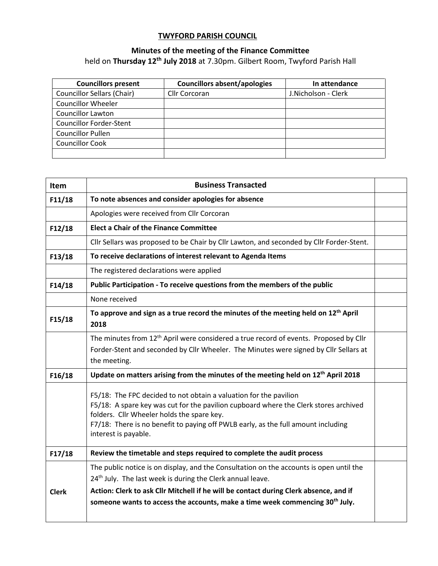## **TWYFORD PARISH COUNCIL**

## **Minutes of the meeting of the Finance Committee** held on **Thursday 12th July 2018** at 7.30pm. Gilbert Room, Twyford Parish Hall

| <b>Councillors present</b>        | <b>Councillors absent/apologies</b> | In attendance       |
|-----------------------------------|-------------------------------------|---------------------|
| <b>Councillor Sellars (Chair)</b> | Cllr Corcoran                       | J.Nicholson - Clerk |
| <b>Councillor Wheeler</b>         |                                     |                     |
| <b>Councillor Lawton</b>          |                                     |                     |
| <b>Councillor Forder-Stent</b>    |                                     |                     |
| <b>Councillor Pullen</b>          |                                     |                     |
| <b>Councillor Cook</b>            |                                     |                     |
|                                   |                                     |                     |

| Item         | <b>Business Transacted</b>                                                                                                                                                                                                                                                                                           |  |
|--------------|----------------------------------------------------------------------------------------------------------------------------------------------------------------------------------------------------------------------------------------------------------------------------------------------------------------------|--|
| F11/18       | To note absences and consider apologies for absence                                                                                                                                                                                                                                                                  |  |
|              | Apologies were received from Cllr Corcoran                                                                                                                                                                                                                                                                           |  |
| F12/18       | <b>Elect a Chair of the Finance Committee</b>                                                                                                                                                                                                                                                                        |  |
|              | Cllr Sellars was proposed to be Chair by Cllr Lawton, and seconded by Cllr Forder-Stent.                                                                                                                                                                                                                             |  |
| F13/18       | To receive declarations of interest relevant to Agenda Items                                                                                                                                                                                                                                                         |  |
|              | The registered declarations were applied                                                                                                                                                                                                                                                                             |  |
| F14/18       | Public Participation - To receive questions from the members of the public                                                                                                                                                                                                                                           |  |
|              | None received                                                                                                                                                                                                                                                                                                        |  |
| F15/18       | To approve and sign as a true record the minutes of the meeting held on 12 <sup>th</sup> April<br>2018                                                                                                                                                                                                               |  |
|              | The minutes from 12 <sup>th</sup> April were considered a true record of events. Proposed by Cllr<br>Forder-Stent and seconded by Cllr Wheeler. The Minutes were signed by Cllr Sellars at<br>the meeting.                                                                                                           |  |
| F16/18       | Update on matters arising from the minutes of the meeting held on 12 <sup>th</sup> April 2018                                                                                                                                                                                                                        |  |
|              | F5/18: The FPC decided to not obtain a valuation for the pavilion<br>F5/18: A spare key was cut for the pavilion cupboard where the Clerk stores archived<br>folders. Cllr Wheeler holds the spare key.<br>F7/18: There is no benefit to paying off PWLB early, as the full amount including<br>interest is payable. |  |
| F17/18       | Review the timetable and steps required to complete the audit process                                                                                                                                                                                                                                                |  |
| <b>Clerk</b> | The public notice is on display, and the Consultation on the accounts is open until the<br>24 <sup>th</sup> July. The last week is during the Clerk annual leave.<br>Action: Clerk to ask Cllr Mitchell if he will be contact during Clerk absence, and if                                                           |  |
|              | someone wants to access the accounts, make a time week commencing 30 <sup>th</sup> July.                                                                                                                                                                                                                             |  |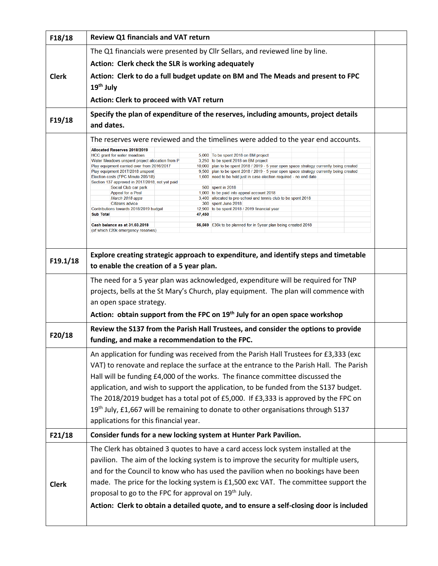| F18/18       | <b>Review Q1 financials and VAT return</b>                                                                                                                                                                                                                            |  |  |  |  |  |
|--------------|-----------------------------------------------------------------------------------------------------------------------------------------------------------------------------------------------------------------------------------------------------------------------|--|--|--|--|--|
|              | The Q1 financials were presented by Cllr Sellars, and reviewed line by line.                                                                                                                                                                                          |  |  |  |  |  |
|              | Action: Clerk check the SLR is working adequately                                                                                                                                                                                                                     |  |  |  |  |  |
| <b>Clerk</b> | Action: Clerk to do a full budget update on BM and The Meads and present to FPC                                                                                                                                                                                       |  |  |  |  |  |
|              | 19 <sup>th</sup> July<br>Action: Clerk to proceed with VAT return                                                                                                                                                                                                     |  |  |  |  |  |
|              |                                                                                                                                                                                                                                                                       |  |  |  |  |  |
| F19/18       | Specify the plan of expenditure of the reserves, including amounts, project details<br>and dates.                                                                                                                                                                     |  |  |  |  |  |
|              | The reserves were reviewed and the timelines were added to the year end accounts.                                                                                                                                                                                     |  |  |  |  |  |
|              | Allocated Reserves 2018/2019                                                                                                                                                                                                                                          |  |  |  |  |  |
|              | 5,000 To be spent 2018 on BM project<br>HCC grant for water meadows<br>3,250 to be spent 2018 on BM project<br>Water Meadows unspent project allocation from P                                                                                                        |  |  |  |  |  |
|              | 10,000 plan to be spent 2018 / 2019 - 5 year open space strategy currently being created<br>Play equipment carried over from 2016/2017<br>Play equipment 2017/2018 unspent<br>9,500 plan to be spent 2018 / 2019 - 5 year open space strategy currently being created |  |  |  |  |  |
|              | 1,600 need to be held just in case election required - no end date<br>Election costs (FPC Minute 205/18)                                                                                                                                                              |  |  |  |  |  |
|              | Section 137 approved in 2017/2018, not yet paid<br>500 spent in 2018<br>Social Club car park                                                                                                                                                                          |  |  |  |  |  |
|              | Appeal for a Peal<br>1,000 to be paid into appeal account 2018                                                                                                                                                                                                        |  |  |  |  |  |
|              | 3,400 allocated to pre-school and tennis club to be spent 2018<br>March 2018 apps<br><b>Citizens advice</b><br>300 spent June 2018                                                                                                                                    |  |  |  |  |  |
|              | Contributions towards 2018/2019 budget<br>12,900 to be spent 2018 / 2019 financial year<br><b>Sub Total</b><br>47,450                                                                                                                                                 |  |  |  |  |  |
|              |                                                                                                                                                                                                                                                                       |  |  |  |  |  |
|              | 56,569 £36k to be planned for in 5year plan being created 2018<br>Cash balance as at 31.03.2018<br>(of which £20k emergency reserves)                                                                                                                                 |  |  |  |  |  |
|              |                                                                                                                                                                                                                                                                       |  |  |  |  |  |
|              | Explore creating strategic approach to expenditure, and identify steps and timetable                                                                                                                                                                                  |  |  |  |  |  |
| F19.1/18     | to enable the creation of a 5 year plan.                                                                                                                                                                                                                              |  |  |  |  |  |
|              | The need for a 5 year plan was acknowledged, expenditure will be required for TNP                                                                                                                                                                                     |  |  |  |  |  |
|              |                                                                                                                                                                                                                                                                       |  |  |  |  |  |
|              | projects, bells at the St Mary's Church, play equipment. The plan will commence with                                                                                                                                                                                  |  |  |  |  |  |
|              | an open space strategy.                                                                                                                                                                                                                                               |  |  |  |  |  |
|              | Action: obtain support from the FPC on 19 <sup>th</sup> July for an open space workshop                                                                                                                                                                               |  |  |  |  |  |
| F20/18       | Review the S137 from the Parish Hall Trustees, and consider the options to provide                                                                                                                                                                                    |  |  |  |  |  |
|              | funding, and make a recommendation to the FPC.                                                                                                                                                                                                                        |  |  |  |  |  |
|              | An application for funding was received from the Parish Hall Trustees for £3,333 (exc                                                                                                                                                                                 |  |  |  |  |  |
|              | VAT) to renovate and replace the surface at the entrance to the Parish Hall. The Parish                                                                                                                                                                               |  |  |  |  |  |
|              | Hall will be funding £4,000 of the works. The finance committee discussed the                                                                                                                                                                                         |  |  |  |  |  |
|              | application, and wish to support the application, to be funded from the S137 budget.                                                                                                                                                                                  |  |  |  |  |  |
|              | The 2018/2019 budget has a total pot of £5,000. If £3,333 is approved by the FPC on                                                                                                                                                                                   |  |  |  |  |  |
|              |                                                                                                                                                                                                                                                                       |  |  |  |  |  |
|              | 19 <sup>th</sup> July, £1,667 will be remaining to donate to other organisations through S137                                                                                                                                                                         |  |  |  |  |  |
|              | applications for this financial year.                                                                                                                                                                                                                                 |  |  |  |  |  |
| F21/18       | Consider funds for a new locking system at Hunter Park Pavilion.                                                                                                                                                                                                      |  |  |  |  |  |
|              | The Clerk has obtained 3 quotes to have a card access lock system installed at the                                                                                                                                                                                    |  |  |  |  |  |
|              | pavilion. The aim of the locking system is to improve the security for multiple users,                                                                                                                                                                                |  |  |  |  |  |
|              | and for the Council to know who has used the pavilion when no bookings have been                                                                                                                                                                                      |  |  |  |  |  |
|              | made. The price for the locking system is £1,500 exc VAT. The committee support the                                                                                                                                                                                   |  |  |  |  |  |
| <b>Clerk</b> |                                                                                                                                                                                                                                                                       |  |  |  |  |  |
|              | proposal to go to the FPC for approval on 19 <sup>th</sup> July.                                                                                                                                                                                                      |  |  |  |  |  |
|              | Action: Clerk to obtain a detailed quote, and to ensure a self-closing door is included                                                                                                                                                                               |  |  |  |  |  |
|              |                                                                                                                                                                                                                                                                       |  |  |  |  |  |